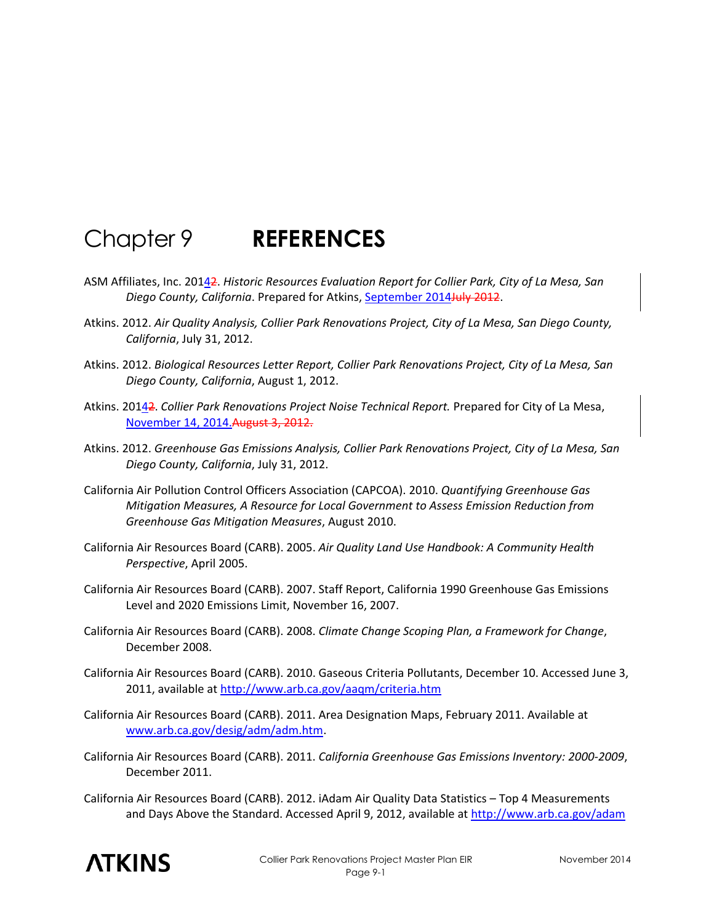## Chapter 9 **REFERENCES**

- ASM Affiliates, Inc. 20142. *Historic Resources Evaluation Report for Collier Park, City of La Mesa, San Diego County, California*. Prepared for Atkins, September 2014July 2012.
- Atkins. 2012. *Air Quality Analysis, Collier Park Renovations Project, City of La Mesa, San Diego County, California*, July 31, 2012.
- Atkins. 2012. *Biological Resources Letter Report, Collier Park Renovations Project, City of La Mesa, San Diego County, California*, August 1, 2012.
- Atkins. 20142. *Collier Park Renovations Project Noise Technical Report.* Prepared for City of La Mesa, November 14, 2014.August 3, 2012.
- Atkins. 2012. *Greenhouse Gas Emissions Analysis, Collier Park Renovations Project, City of La Mesa, San Diego County, California*, July 31, 2012.
- California Air Pollution Control Officers Association (CAPCOA). 2010. *Quantifying Greenhouse Gas Mitigation Measures, A Resource for Local Government to Assess Emission Reduction from Greenhouse Gas Mitigation Measures*, August 2010.
- California Air Resources Board (CARB). 2005. *Air Quality Land Use Handbook: A Community Health Perspective*, April 2005.
- California Air Resources Board (CARB). 2007. Staff Report, California 1990 Greenhouse Gas Emissions Level and 2020 Emissions Limit, November 16, 2007.
- California Air Resources Board (CARB). 2008. *Climate Change Scoping Plan, a Framework for Change*, December 2008.
- California Air Resources Board (CARB). 2010. Gaseous Criteria Pollutants, December 10. Accessed June 3, 2011, available at<http://www.arb.ca.gov/aaqm/criteria.htm>
- California Air Resources Board (CARB). 2011. Area Designation Maps, February 2011. Available at [www.arb.ca.gov/desig/adm/adm.htm.](http://www.arb.ca.gov/desig/adm/adm.htm)
- California Air Resources Board (CARB). 2011. *California Greenhouse Gas Emissions Inventory: 2000-2009*, December 2011.
- California Air Resources Board (CARB). 2012. iAdam Air Quality Data Statistics Top 4 Measurements and Days Above the Standard. Accessed April 9, 2012, available at<http://www.arb.ca.gov/adam>

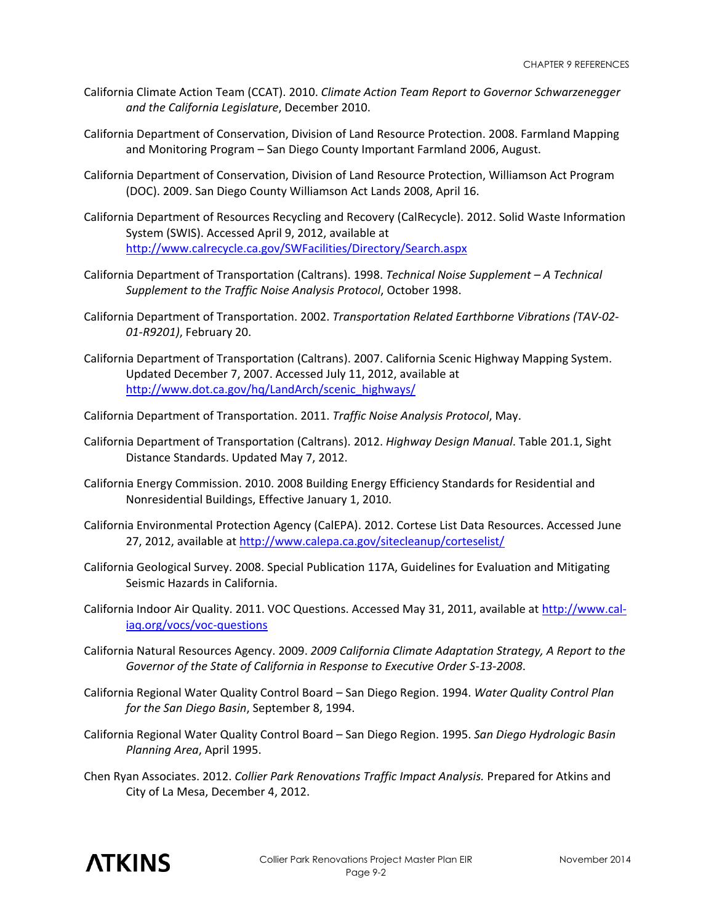- California Climate Action Team (CCAT). 2010. *Climate Action Team Report to Governor Schwarzenegger and the California Legislature*, December 2010.
- California Department of Conservation, Division of Land Resource Protection. 2008. Farmland Mapping and Monitoring Program – San Diego County Important Farmland 2006, August.
- California Department of Conservation, Division of Land Resource Protection, Williamson Act Program (DOC). 2009. San Diego County Williamson Act Lands 2008, April 16.
- California Department of Resources Recycling and Recovery (CalRecycle). 2012. Solid Waste Information System (SWIS). Accessed April 9, 2012, available at <http://www.calrecycle.ca.gov/SWFacilities/Directory/Search.aspx>
- California Department of Transportation (Caltrans). 1998. *Technical Noise Supplement – A Technical Supplement to the Traffic Noise Analysis Protocol*, October 1998.
- California Department of Transportation. 2002. *Transportation Related Earthborne Vibrations (TAV-02- 01-R9201)*, February 20.
- California Department of Transportation (Caltrans). 2007. California Scenic Highway Mapping System. Updated December 7, 2007. Accessed July 11, 2012, available at [http://www.dot.ca.gov/hq/LandArch/scenic\\_highways/](http://www.dot.ca.gov/hq/LandArch/scenic_highways/)
- California Department of Transportation. 2011. *Traffic Noise Analysis Protocol*, May.
- California Department of Transportation (Caltrans). 2012. *Highway Design Manual*. Table 201.1, Sight Distance Standards. Updated May 7, 2012.
- California Energy Commission. 2010. 2008 Building Energy Efficiency Standards for Residential and Nonresidential Buildings, Effective January 1, 2010.
- California Environmental Protection Agency (CalEPA). 2012. Cortese List Data Resources. Accessed June 27, 2012, available at<http://www.calepa.ca.gov/sitecleanup/corteselist/>
- California Geological Survey. 2008. Special Publication 117A, Guidelines for Evaluation and Mitigating Seismic Hazards in California.
- California Indoor Air Quality. 2011. VOC Questions. Accessed May 31, 2011, available at [http://www.cal](http://www.cal-iaq.org/vocs/voc-questions)[iaq.org/vocs/voc-questions](http://www.cal-iaq.org/vocs/voc-questions)
- California Natural Resources Agency. 2009. *2009 California Climate Adaptation Strategy, A Report to the Governor of the State of California in Response to Executive Order S-13-2008*.
- California Regional Water Quality Control Board San Diego Region. 1994. *Water Quality Control Plan for the San Diego Basin*, September 8, 1994.
- California Regional Water Quality Control Board San Diego Region. 1995. *San Diego Hydrologic Basin Planning Area*, April 1995.
- Chen Ryan Associates. 2012. *Collier Park Renovations Traffic Impact Analysis.* Prepared for Atkins and City of La Mesa, December 4, 2012.

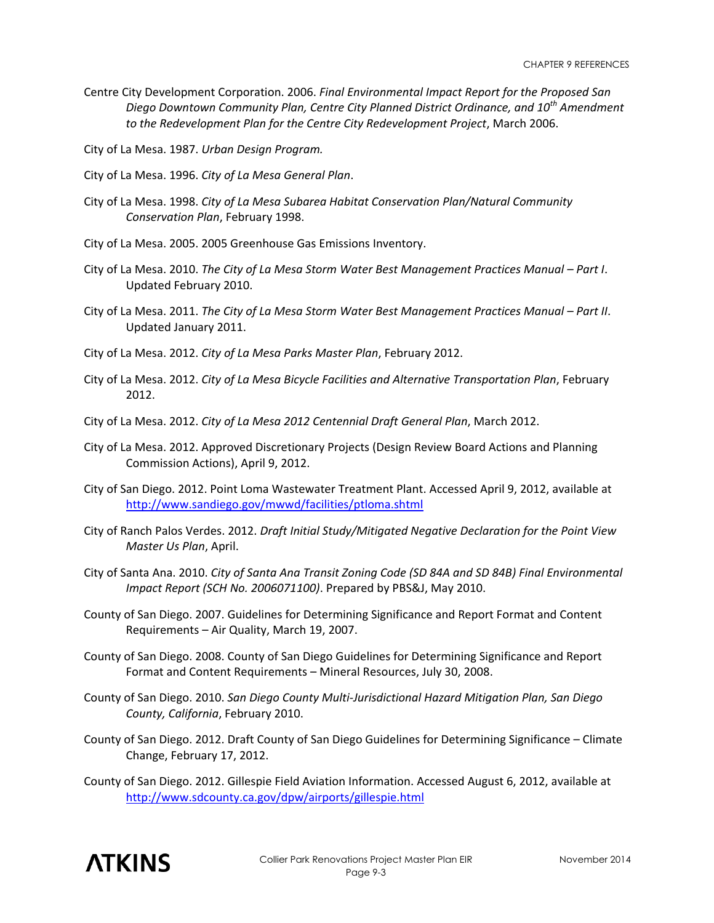- Centre City Development Corporation. 2006. *Final Environmental Impact Report for the Proposed San Diego Downtown Community Plan, Centre City Planned District Ordinance, and 10th Amendment to the Redevelopment Plan for the Centre City Redevelopment Project*, March 2006.
- City of La Mesa. 1987. *Urban Design Program.*
- City of La Mesa. 1996. *City of La Mesa General Plan*.
- City of La Mesa. 1998. *City of La Mesa Subarea Habitat Conservation Plan/Natural Community Conservation Plan*, February 1998.
- City of La Mesa. 2005. 2005 Greenhouse Gas Emissions Inventory.
- City of La Mesa. 2010. *The City of La Mesa Storm Water Best Management Practices Manual Part I.* Updated February 2010.
- City of La Mesa. 2011. *The City of La Mesa Storm Water Best Management Practices Manual Part II*. Updated January 2011.
- City of La Mesa. 2012. *City of La Mesa Parks Master Plan*, February 2012.
- City of La Mesa. 2012. *City of La Mesa Bicycle Facilities and Alternative Transportation Plan*, February 2012.
- City of La Mesa. 2012. *City of La Mesa 2012 Centennial Draft General Plan*, March 2012.
- City of La Mesa. 2012. Approved Discretionary Projects (Design Review Board Actions and Planning Commission Actions), April 9, 2012.
- City of San Diego. 2012. Point Loma Wastewater Treatment Plant. Accessed April 9, 2012, available at <http://www.sandiego.gov/mwwd/facilities/ptloma.shtml>
- City of Ranch Palos Verdes. 2012. *Draft Initial Study/Mitigated Negative Declaration for the Point View Master Us Plan*, April.
- City of Santa Ana. 2010. *City of Santa Ana Transit Zoning Code (SD 84A and SD 84B) Final Environmental Impact Report (SCH No. 2006071100)*. Prepared by PBS&J, May 2010.
- County of San Diego. 2007. Guidelines for Determining Significance and Report Format and Content Requirements – Air Quality, March 19, 2007.
- County of San Diego. 2008. County of San Diego Guidelines for Determining Significance and Report Format and Content Requirements – Mineral Resources, July 30, 2008.
- County of San Diego. 2010. *San Diego County Multi-Jurisdictional Hazard Mitigation Plan, San Diego County, California*, February 2010.
- County of San Diego. 2012. Draft County of San Diego Guidelines for Determining Significance Climate Change, February 17, 2012.
- County of San Diego. 2012. Gillespie Field Aviation Information. Accessed August 6, 2012, available at <http://www.sdcounty.ca.gov/dpw/airports/gillespie.html>

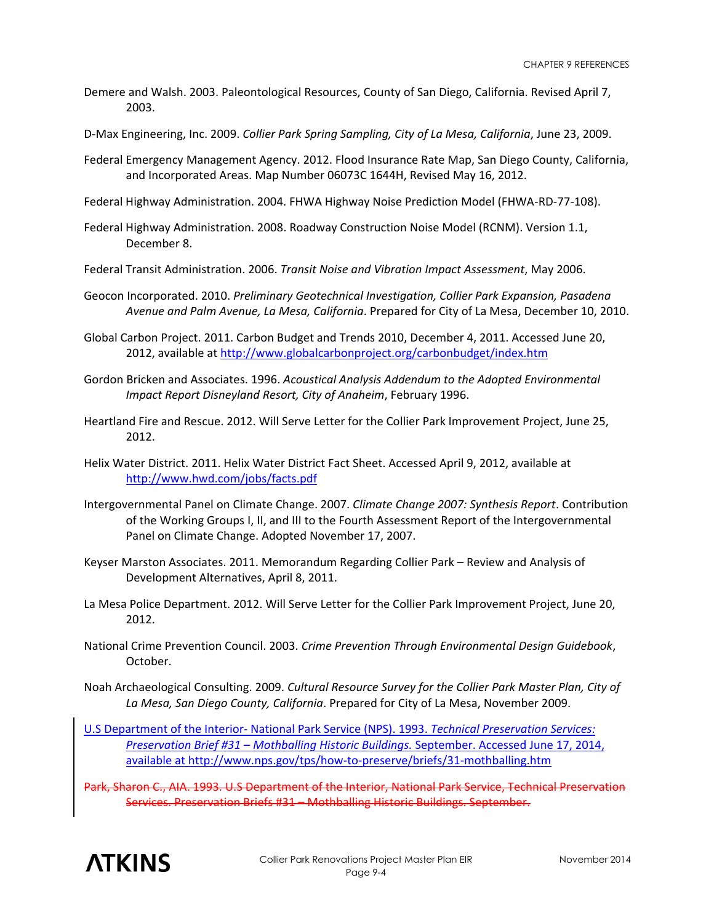- Demere and Walsh. 2003. Paleontological Resources, County of San Diego, California. Revised April 7, 2003.
- D-Max Engineering, Inc. 2009. *Collier Park Spring Sampling, City of La Mesa, California*, June 23, 2009.
- Federal Emergency Management Agency. 2012. Flood Insurance Rate Map, San Diego County, California, and Incorporated Areas. Map Number 06073C 1644H, Revised May 16, 2012.
- Federal Highway Administration. 2004. FHWA Highway Noise Prediction Model (FHWA-RD-77-108).
- Federal Highway Administration. 2008. Roadway Construction Noise Model (RCNM). Version 1.1, December 8.
- Federal Transit Administration. 2006. *Transit Noise and Vibration Impact Assessment*, May 2006.
- Geocon Incorporated. 2010. *Preliminary Geotechnical Investigation, Collier Park Expansion, Pasadena Avenue and Palm Avenue, La Mesa, California*. Prepared for City of La Mesa, December 10, 2010.
- Global Carbon Project. 2011. Carbon Budget and Trends 2010, December 4, 2011. Accessed June 20, 2012, available at<http://www.globalcarbonproject.org/carbonbudget/index.htm>
- Gordon Bricken and Associates. 1996. *Acoustical Analysis Addendum to the Adopted Environmental Impact Report Disneyland Resort, City of Anaheim*, February 1996.
- Heartland Fire and Rescue. 2012. Will Serve Letter for the Collier Park Improvement Project, June 25, 2012.
- Helix Water District. 2011. Helix Water District Fact Sheet. Accessed April 9, 2012, available at <http://www.hwd.com/jobs/facts.pdf>
- Intergovernmental Panel on Climate Change. 2007. *Climate Change 2007: Synthesis Report*. Contribution of the Working Groups I, II, and III to the Fourth Assessment Report of the Intergovernmental Panel on Climate Change. Adopted November 17, 2007.
- Keyser Marston Associates. 2011. Memorandum Regarding Collier Park Review and Analysis of Development Alternatives, April 8, 2011.
- La Mesa Police Department. 2012. Will Serve Letter for the Collier Park Improvement Project, June 20, 2012.
- National Crime Prevention Council. 2003. *Crime Prevention Through Environmental Design Guidebook*, October.
- Noah Archaeological Consulting. 2009. *Cultural Resource Survey for the Collier Park Master Plan, City of La Mesa, San Diego County, California*. Prepared for City of La Mesa, November 2009.
- U.S Department of the Interior- National Park Service (NPS). 1993. *Technical Preservation Services: Preservation Brief #31 – Mothballing Historic Buildings.* September. Accessed June 17, 2014, available a[t http://www.nps.gov/tps/how-to-preserve/briefs/31-mothballing.htm](http://www.nps.gov/tps/how-to-preserve/briefs/31-mothballing.htm)
- Park, Sharon C., AIA. 1993. U.S Department of the Interior, National Park Service, Technical Preservation Services. Preservation Briefs #31 – Mothballing Historic Buildings. September.

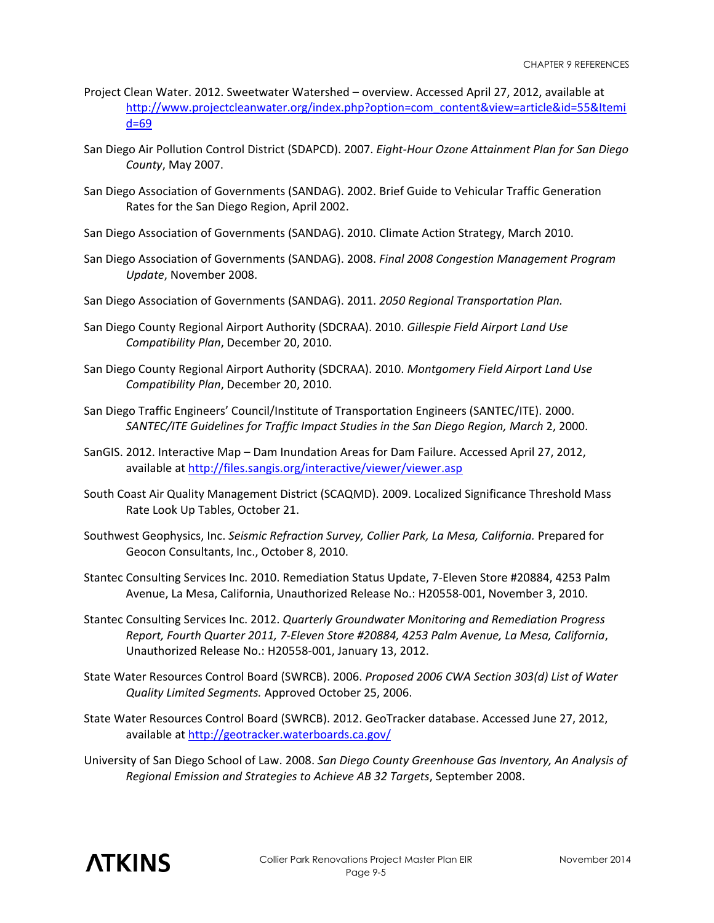- Project Clean Water. 2012. Sweetwater Watershed overview. Accessed April 27, 2012, available at [http://www.projectcleanwater.org/index.php?option=com\\_content&view=article&id=55&Itemi](http://www.projectcleanwater.org/index.php?option=com_content&view=article&id=55&Itemid=69) [d=69](http://www.projectcleanwater.org/index.php?option=com_content&view=article&id=55&Itemid=69)
- San Diego Air Pollution Control District (SDAPCD). 2007. *Eight-Hour Ozone Attainment Plan for San Diego County*, May 2007.
- San Diego Association of Governments (SANDAG). 2002. Brief Guide to Vehicular Traffic Generation Rates for the San Diego Region, April 2002.
- San Diego Association of Governments (SANDAG). 2010. Climate Action Strategy, March 2010.
- San Diego Association of Governments (SANDAG). 2008. *Final 2008 Congestion Management Program Update*, November 2008.
- San Diego Association of Governments (SANDAG). 2011. *2050 Regional Transportation Plan.*
- San Diego County Regional Airport Authority (SDCRAA). 2010. *Gillespie Field Airport Land Use Compatibility Plan*, December 20, 2010.
- San Diego County Regional Airport Authority (SDCRAA). 2010. *Montgomery Field Airport Land Use Compatibility Plan*, December 20, 2010.
- San Diego Traffic Engineers' Council/Institute of Transportation Engineers (SANTEC/ITE). 2000. *SANTEC/ITE Guidelines for Traffic Impact Studies in the San Diego Region, March* 2, 2000.
- SanGIS. 2012. Interactive Map Dam Inundation Areas for Dam Failure. Accessed April 27, 2012, available a[t http://files.sangis.org/interactive/viewer/viewer.asp](http://files.sangis.org/interactive/viewer/viewer.asp)
- South Coast Air Quality Management District (SCAQMD). 2009. Localized Significance Threshold Mass Rate Look Up Tables, October 21.
- Southwest Geophysics, Inc. *Seismic Refraction Survey, Collier Park, La Mesa, California.* Prepared for Geocon Consultants, Inc., October 8, 2010.
- Stantec Consulting Services Inc. 2010. Remediation Status Update, 7-Eleven Store #20884, 4253 Palm Avenue, La Mesa, California, Unauthorized Release No.: H20558-001, November 3, 2010.
- Stantec Consulting Services Inc. 2012. *Quarterly Groundwater Monitoring and Remediation Progress Report, Fourth Quarter 2011, 7-Eleven Store #20884, 4253 Palm Avenue, La Mesa, California*, Unauthorized Release No.: H20558-001, January 13, 2012.
- State Water Resources Control Board (SWRCB). 2006. *Proposed 2006 CWA Section 303(d) List of Water Quality Limited Segments.* Approved October 25, 2006.
- State Water Resources Control Board (SWRCB). 2012. GeoTracker database. Accessed June 27, 2012, available a[t http://geotracker.waterboards.ca.gov/](http://geotracker.waterboards.ca.gov/)
- University of San Diego School of Law. 2008. *San Diego County Greenhouse Gas Inventory, An Analysis of Regional Emission and Strategies to Achieve AB 32 Targets*, September 2008.